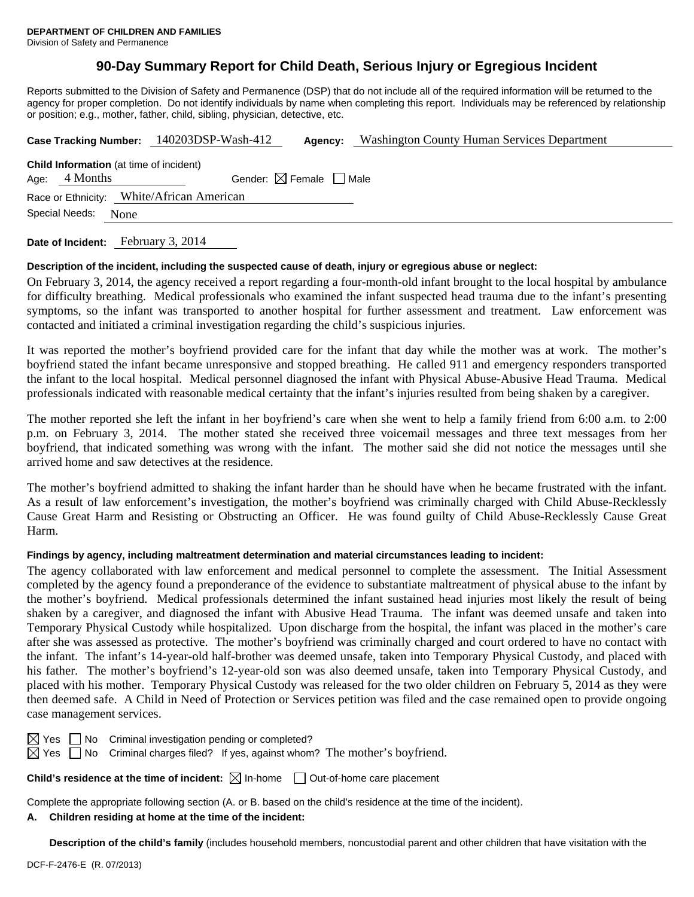# **90-Day Summary Report for Child Death, Serious Injury or Egregious Incident**

Reports submitted to the Division of Safety and Permanence (DSP) that do not include all of the required information will be returned to the agency for proper completion. Do not identify individuals by name when completing this report. Individuals may be referenced by relationship or position; e.g., mother, father, child, sibling, physician, detective, etc.

|                                                                                                        | Case Tracking Number: 140203DSP-Wash-412 | Agency: | <b>Washington County Human Services Department</b> |  |  |  |  |
|--------------------------------------------------------------------------------------------------------|------------------------------------------|---------|----------------------------------------------------|--|--|--|--|
| <b>Child Information</b> (at time of incident)<br>Gender: $\boxtimes$ Female   Male<br>Age: $4$ Months |                                          |         |                                                    |  |  |  |  |
| Race or Ethnicity: White/African American<br>Special Needs:<br>None                                    |                                          |         |                                                    |  |  |  |  |
|                                                                                                        |                                          |         |                                                    |  |  |  |  |

**Date of Incident:** February 3, 2014

### **Description of the incident, including the suspected cause of death, injury or egregious abuse or neglect:**

On February 3, 2014, the agency received a report regarding a four-month-old infant brought to the local hospital by ambulance for difficulty breathing. Medical professionals who examined the infant suspected head trauma due to the infant's presenting symptoms, so the infant was transported to another hospital for further assessment and treatment. Law enforcement was contacted and initiated a criminal investigation regarding the child's suspicious injuries.

It was reported the mother's boyfriend provided care for the infant that day while the mother was at work. The mother's boyfriend stated the infant became unresponsive and stopped breathing. He called 911 and emergency responders transported the infant to the local hospital. Medical personnel diagnosed the infant with Physical Abuse-Abusive Head Trauma. Medical professionals indicated with reasonable medical certainty that the infant's injuries resulted from being shaken by a caregiver.

The mother reported she left the infant in her boyfriend's care when she went to help a family friend from 6:00 a.m. to 2:00 p.m. on February 3, 2014. The mother stated she received three voicemail messages and three text messages from her boyfriend, that indicated something was wrong with the infant. The mother said she did not notice the messages until she arrived home and saw detectives at the residence.

The mother's boyfriend admitted to shaking the infant harder than he should have when he became frustrated with the infant. As a result of law enforcement's investigation, the mother's boyfriend was criminally charged with Child Abuse-Recklessly Cause Great Harm and Resisting or Obstructing an Officer. He was found guilty of Child Abuse-Recklessly Cause Great Harm.

### **Findings by agency, including maltreatment determination and material circumstances leading to incident:**

The agency collaborated with law enforcement and medical personnel to complete the assessment. The Initial Assessment completed by the agency found a preponderance of the evidence to substantiate maltreatment of physical abuse to the infant by the mother's boyfriend. Medical professionals determined the infant sustained head injuries most likely the result of being shaken by a caregiver, and diagnosed the infant with Abusive Head Trauma. The infant was deemed unsafe and taken into Temporary Physical Custody while hospitalized. Upon discharge from the hospital, the infant was placed in the mother's care after she was assessed as protective. The mother's boyfriend was criminally charged and court ordered to have no contact with the infant. The infant's 14-year-old half-brother was deemed unsafe, taken into Temporary Physical Custody, and placed with his father. The mother's boyfriend's 12-year-old son was also deemed unsafe, taken into Temporary Physical Custody, and placed with his mother. Temporary Physical Custody was released for the two older children on February 5, 2014 as they were then deemed safe. A Child in Need of Protection or Services petition was filed and the case remained open to provide ongoing case management services.

| ×<br>I |  |
|--------|--|
|        |  |

 $\Box$  No Criminal investigation pending or completed?

 $\boxtimes$  Yes  $\Box$  No Criminal charges filed? If yes, against whom? The mother's boyfriend.

**Child's residence at the time of incident:** ⊠ In-home □ Out-of-home care placement

Complete the appropriate following section (A. or B. based on the child's residence at the time of the incident).

## **A. Children residing at home at the time of the incident:**

**Description of the child's family** (includes household members, noncustodial parent and other children that have visitation with the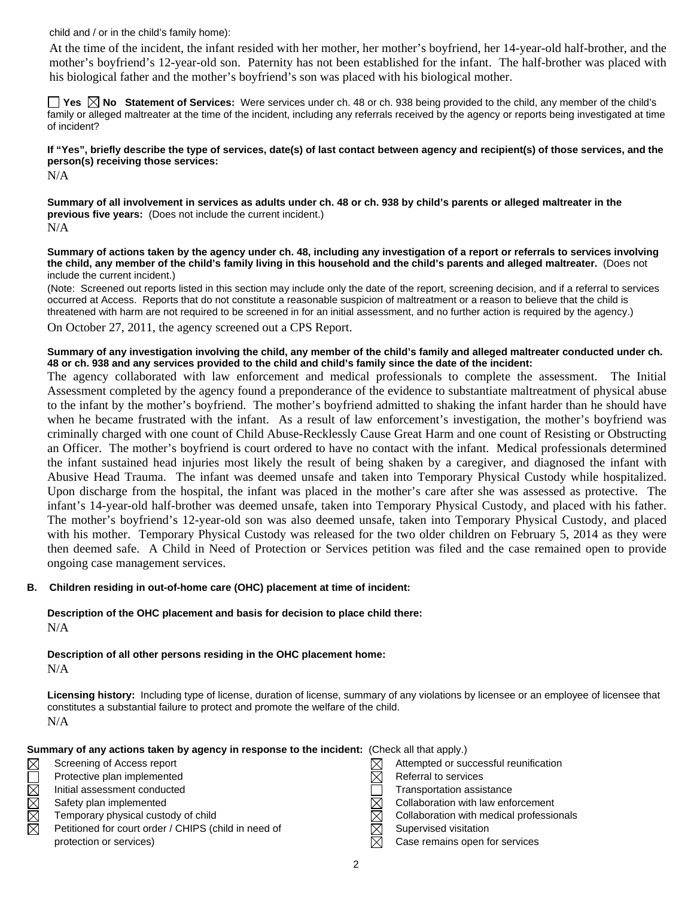child and / or in the child's family home):

 At the time of the incident, the infant resided with her mother, her mother's boyfriend, her 14-year-old half-brother, and the mother's boyfriend's 12-year-old son. Paternity has not been established for the infant. The half-brother was placed with his biological father and the mother's boyfriend's son was placed with his biological mother.

**Yes No Statement of Services:** Were services under ch. 48 or ch. 938 being provided to the child, any member of the child's family or alleged maltreater at the time of the incident, including any referrals received by the agency or reports being investigated at time of incident?

**If "Yes", briefly describe the type of services, date(s) of last contact between agency and recipient(s) of those services, and the person(s) receiving those services:** 

N/A

**Summary of all involvement in services as adults under ch. 48 or ch. 938 by child's parents or alleged maltreater in the previous five years:** (Does not include the current incident.) N/A

**Summary of actions taken by the agency under ch. 48, including any investigation of a report or referrals to services involving the child, any member of the child's family living in this household and the child's parents and alleged maltreater.** (Does not include the current incident.)

(Note: Screened out reports listed in this section may include only the date of the report, screening decision, and if a referral to services occurred at Access. Reports that do not constitute a reasonable suspicion of maltreatment or a reason to believe that the child is threatened with harm are not required to be screened in for an initial assessment, and no further action is required by the agency.)

On October 27, 2011, the agency screened out a CPS Report.

**Summary of any investigation involving the child, any member of the child's family and alleged maltreater conducted under ch. 48 or ch. 938 and any services provided to the child and child's family since the date of the incident:** 

The agency collaborated with law enforcement and medical professionals to complete the assessment. The Initial Assessment completed by the agency found a preponderance of the evidence to substantiate maltreatment of physical abuse to the infant by the mother's boyfriend. The mother's boyfriend admitted to shaking the infant harder than he should have when he became frustrated with the infant. As a result of law enforcement's investigation, the mother's boyfriend was criminally charged with one count of Child Abuse-Recklessly Cause Great Harm and one count of Resisting or Obstructing an Officer. The mother's boyfriend is court ordered to have no contact with the infant. Medical professionals determined the infant sustained head injuries most likely the result of being shaken by a caregiver, and diagnosed the infant with Abusive Head Trauma. The infant was deemed unsafe and taken into Temporary Physical Custody while hospitalized. Upon discharge from the hospital, the infant was placed in the mother's care after she was assessed as protective. The infant's 14-year-old half-brother was deemed unsafe, taken into Temporary Physical Custody, and placed with his father. The mother's boyfriend's 12-year-old son was also deemed unsafe, taken into Temporary Physical Custody, and placed with his mother. Temporary Physical Custody was released for the two older children on February 5, 2014 as they were then deemed safe. A Child in Need of Protection or Services petition was filed and the case remained open to provide ongoing case management services.

### **B. Children residing in out-of-home care (OHC) placement at time of incident:**

**Description of the OHC placement and basis for decision to place child there:** N/A

**Description of all other persons residing in the OHC placement home:** N/A

**Licensing history:** Including type of license, duration of license, summary of any violations by licensee or an employee of licensee that constitutes a substantial failure to protect and promote the welfare of the child. N/A

|             | Summary of any actions taken by agency in response to the incident: (Check all that apply.) |  |                                          |
|-------------|---------------------------------------------------------------------------------------------|--|------------------------------------------|
| $\boxtimes$ | Screening of Access report                                                                  |  | Attempted or successful reunification    |
|             | Protective plan implemented                                                                 |  | Referral to services                     |
| NNNO        | Initial assessment conducted                                                                |  | Transportation assistance                |
|             | Safety plan implemented                                                                     |  | Collaboration with law enforcement       |
|             | Temporary physical custody of child                                                         |  | Collaboration with medical professionals |
| $\boxtimes$ | Petitioned for court order / CHIPS (child in need of                                        |  | Supervised visitation                    |
|             | protection or services)                                                                     |  | Case remains open for services           |